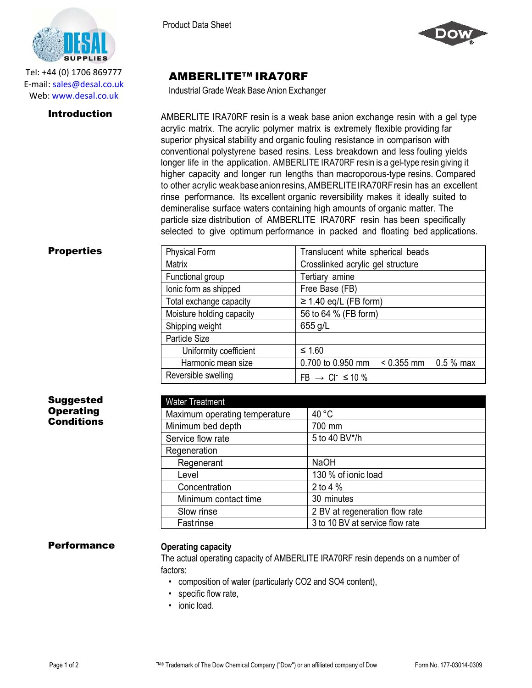

Tel: +44 (0) 1706 869777 E‐mail: sales@desal.co.uk Web: www.desal.co.uk

Product Data Sheet



# AMBERLITE™ IRA70RF

Industrial Grade Weak Base Anion Exchanger

**Introduction** AMBERLITE IRA70RF resin is a weak base anion exchange resin with a gel type acrylic matrix. The acrylic polymer matrix is extremely flexible providing far superior physical stability and organic fouling resistance in comparison with conventional polystyrene based resins. Less breakdown and less fouling yields longer life in the application. AMBERLITE IRA70RF resin is a gel-type resin giving it higher capacity and longer run lengths than macroporous-type resins. Compared to other acrylic weakbaseanionresins,AMBERLITEIRA70RFresin has an excellent rinse performance. Its excellent organic reversibility makes it ideally suited to demineralise surface waters containing high amounts of organic matter. The particle size distribution of AMBERLITE IRA70RF resin has been specifically selected to give optimum performance in packed and floating bed applications.

| <b>Properties</b> | <b>Physical Form</b>      | Translucent white spherical beads           |
|-------------------|---------------------------|---------------------------------------------|
|                   | Matrix                    | Crosslinked acrylic gel structure           |
|                   | Functional group          | Tertiary amine                              |
|                   | lonic form as shipped     | Free Base (FB)                              |
|                   | Total exchange capacity   | $\geq$ 1.40 eq/L (FB form)                  |
|                   | Moisture holding capacity | 56 to 64 % (FB form)                        |
|                   | Shipping weight           | 655 g/L                                     |
|                   | Particle Size             |                                             |
|                   | Uniformity coefficient    | $≤ 1.60$                                    |
|                   | Harmonic mean size        | 0.700 to 0.950 mm $\leq$ 0.355 mm 0.5 % max |
|                   | Reversible swelling       | $FB \rightarrow CI^{-} \leq 10 \%$          |

| <b>Suggested</b> |
|------------------|
| Operating        |
| Conditions       |

| <b>Water Treatment</b>        |                                 |
|-------------------------------|---------------------------------|
| Maximum operating temperature | 40 °C                           |
| Minimum bed depth             | 700 mm                          |
| Service flow rate             | 5 to 40 BV*/h                   |
| Regeneration                  |                                 |
| Regenerant                    | <b>NaOH</b>                     |
| Level                         | 130 % of ionic load             |
| Concentration                 | 2 to 4 $%$                      |
| Minimum contact time          | 30 minutes                      |
| Slow rinse                    | 2 BV at regeneration flow rate  |
| <b>Fast rinse</b>             | 3 to 10 BV at service flow rate |

# Performance **Operating capacity**

The actual operating capacity of AMBERLITE IRA70RF resin depends on a number of factors:

- composition of water (particularly CO2 and SO4 content),
- specific flow rate,
- ionic load.